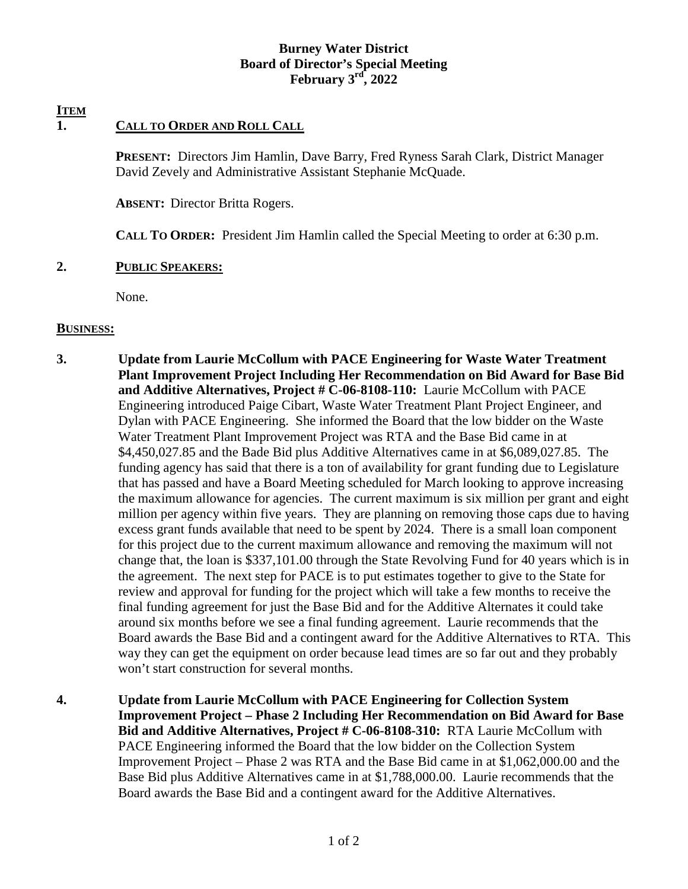### **Burney Water District Board of Director's Special Meeting February 3rd, 2022**

# **ITEM**

# **1. CALL TO ORDER AND ROLL CALL**

**PRESENT:** Directors Jim Hamlin, Dave Barry, Fred Ryness Sarah Clark, District Manager David Zevely and Administrative Assistant Stephanie McQuade.

**ABSENT:** Director Britta Rogers.

**CALL TO ORDER:** President Jim Hamlin called the Special Meeting to order at 6:30 p.m.

#### **2. PUBLIC SPEAKERS:**

None.

#### **BUSINESS:**

- **3. Update from Laurie McCollum with PACE Engineering for Waste Water Treatment Plant Improvement Project Including Her Recommendation on Bid Award for Base Bid and Additive Alternatives, Project # C-06-8108-110:** Laurie McCollum with PACE Engineering introduced Paige Cibart, Waste Water Treatment Plant Project Engineer, and Dylan with PACE Engineering. She informed the Board that the low bidder on the Waste Water Treatment Plant Improvement Project was RTA and the Base Bid came in at \$4,450,027.85 and the Bade Bid plus Additive Alternatives came in at \$6,089,027.85. The funding agency has said that there is a ton of availability for grant funding due to Legislature that has passed and have a Board Meeting scheduled for March looking to approve increasing the maximum allowance for agencies. The current maximum is six million per grant and eight million per agency within five years. They are planning on removing those caps due to having excess grant funds available that need to be spent by 2024. There is a small loan component for this project due to the current maximum allowance and removing the maximum will not change that, the loan is \$337,101.00 through the State Revolving Fund for 40 years which is in the agreement. The next step for PACE is to put estimates together to give to the State for review and approval for funding for the project which will take a few months to receive the final funding agreement for just the Base Bid and for the Additive Alternates it could take around six months before we see a final funding agreement. Laurie recommends that the Board awards the Base Bid and a contingent award for the Additive Alternatives to RTA. This way they can get the equipment on order because lead times are so far out and they probably won't start construction for several months.
- **4. Update from Laurie McCollum with PACE Engineering for Collection System Improvement Project – Phase 2 Including Her Recommendation on Bid Award for Base Bid and Additive Alternatives, Project # C-06-8108-310:** RTA Laurie McCollum with PACE Engineering informed the Board that the low bidder on the Collection System Improvement Project – Phase 2 was RTA and the Base Bid came in at \$1,062,000.00 and the Base Bid plus Additive Alternatives came in at \$1,788,000.00. Laurie recommends that the Board awards the Base Bid and a contingent award for the Additive Alternatives.